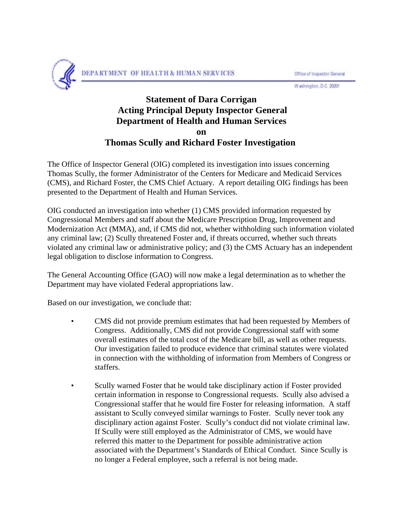

Office of Inspector General

Washington, D.C. 20201

## **Statement of Dara Corrigan Acting Principal Deputy Inspector General Department of Health and Human Services on Thomas Scully and Richard Foster Investigation**

The Office of Inspector General (OIG) completed its investigation into issues concerning Thomas Scully, the former Administrator of the Centers for Medicare and Medicaid Services (CMS), and Richard Foster, the CMS Chief Actuary. A report detailing OIG findings has been presented to the Department of Health and Human Services.

OIG conducted an investigation into whether (1) CMS provided information requested by Congressional Members and staff about the Medicare Prescription Drug, Improvement and Modernization Act (MMA), and, if CMS did not, whether withholding such information violated any criminal law; (2) Scully threatened Foster and, if threats occurred, whether such threats violated any criminal law or administrative policy; and (3) the CMS Actuary has an independent legal obligation to disclose information to Congress.

The General Accounting Office (GAO) will now make a legal determination as to whether the Department may have violated Federal appropriations law.

Based on our investigation, we conclude that:

- CMS did not provide premium estimates that had been requested by Members of Congress. Additionally, CMS did not provide Congressional staff with some overall estimates of the total cost of the Medicare bill, as well as other requests. Our investigation failed to produce evidence that criminal statutes were violated in connection with the withholding of information from Members of Congress or staffers.
- Scully warned Foster that he would take disciplinary action if Foster provided certain information in response to Congressional requests. Scully also advised a Congressional staffer that he would fire Foster for releasing information. A staff assistant to Scully conveyed similar warnings to Foster. Scully never took any disciplinary action against Foster. Scully's conduct did not violate criminal law. If Scully were still employed as the Administrator of CMS, we would have referred this matter to the Department for possible administrative action associated with the Department's Standards of Ethical Conduct. Since Scully is no longer a Federal employee, such a referral is not being made.